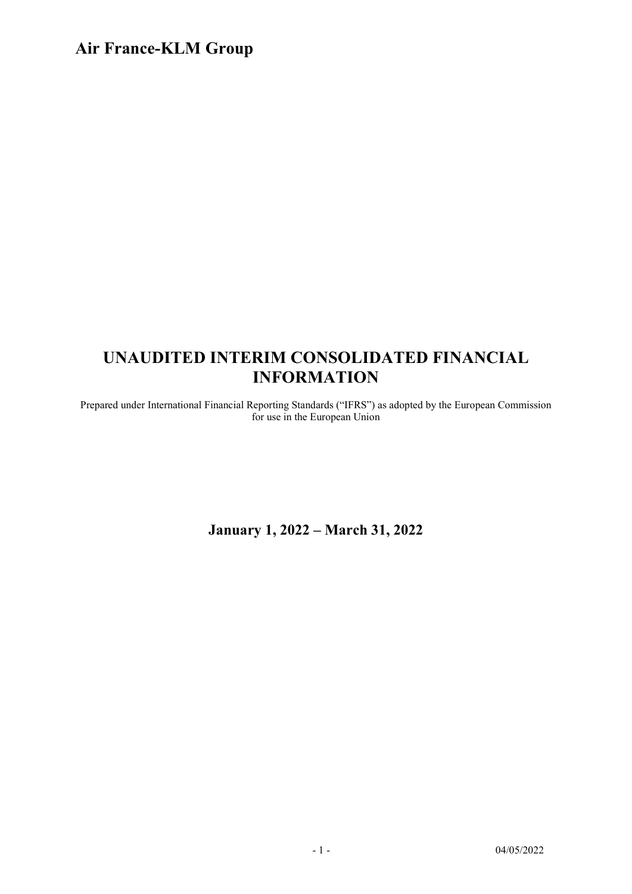# UNAUDITED INTERIM CONSOLIDATED FINANCIAL INFORMATION

Prepared under International Financial Reporting Standards ("IFRS") as adopted by the European Commission for use in the European Union

January 1, 2022 – March 31, 2022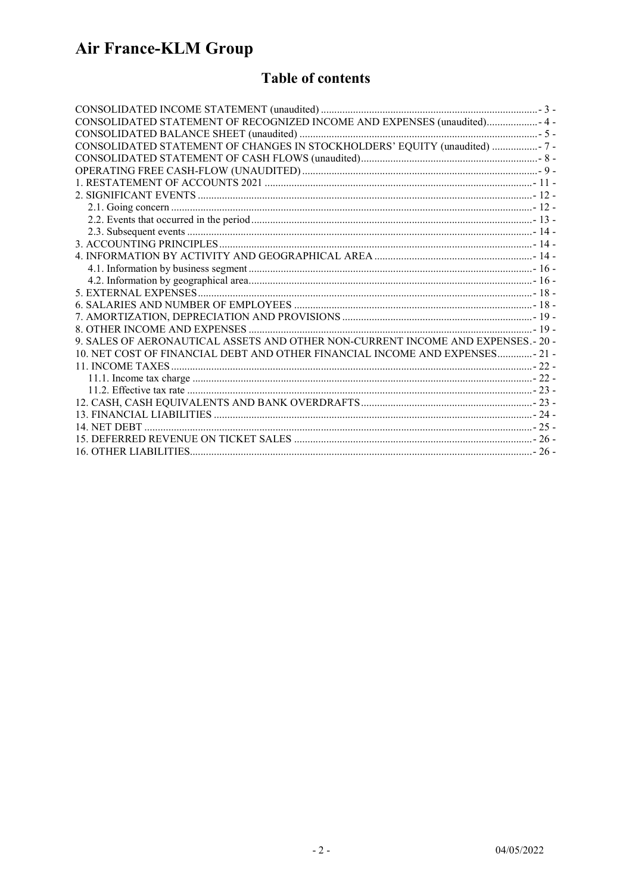### **Table of contents**

| CONSOLIDATED STATEMENT OF RECOGNIZED INCOME AND EXPENSES (unaudited) 4-          |  |
|----------------------------------------------------------------------------------|--|
|                                                                                  |  |
| CONSOLIDATED STATEMENT OF CHANGES IN STOCKHOLDERS' EQUITY (unaudited)  - 7 -     |  |
|                                                                                  |  |
|                                                                                  |  |
|                                                                                  |  |
|                                                                                  |  |
|                                                                                  |  |
|                                                                                  |  |
|                                                                                  |  |
|                                                                                  |  |
|                                                                                  |  |
|                                                                                  |  |
|                                                                                  |  |
|                                                                                  |  |
|                                                                                  |  |
|                                                                                  |  |
|                                                                                  |  |
| 9. SALES OF AERONAUTICAL ASSETS AND OTHER NON-CURRENT INCOME AND EXPENSES.- 20 - |  |
| 10. NET COST OF FINANCIAL DEBT AND OTHER FINANCIAL INCOME AND EXPENSES- 21 -     |  |
|                                                                                  |  |
|                                                                                  |  |
|                                                                                  |  |
|                                                                                  |  |
|                                                                                  |  |
|                                                                                  |  |
|                                                                                  |  |
|                                                                                  |  |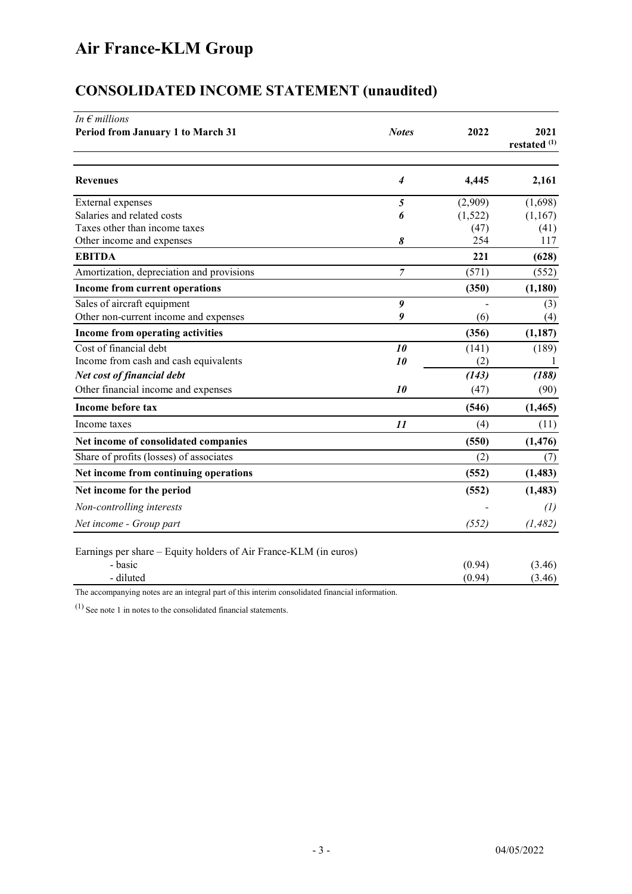| In $\epsilon$ millions                                           |                  |         |                                 |
|------------------------------------------------------------------|------------------|---------|---------------------------------|
| Period from January 1 to March 31                                | <b>Notes</b>     | 2022    | 2021<br>restated <sup>(1)</sup> |
| <b>Revenues</b>                                                  | 4                | 4,445   | 2,161                           |
| External expenses                                                | 5                | (2,909) | (1,698)                         |
| Salaries and related costs                                       | 6                | (1,522) | (1,167)                         |
| Taxes other than income taxes                                    |                  | (47)    | (41)                            |
| Other income and expenses                                        | 8                | 254     | 117                             |
| <b>EBITDA</b>                                                    |                  | 221     | (628)                           |
| Amortization, depreciation and provisions                        | $\overline{7}$   | (571)   | (552)                           |
| Income from current operations                                   |                  | (350)   | (1,180)                         |
| Sales of aircraft equipment                                      | $\boldsymbol{g}$ |         | (3)                             |
| Other non-current income and expenses                            | 9                | (6)     | (4)                             |
| Income from operating activities                                 |                  | (356)   | (1,187)                         |
| Cost of financial debt                                           | 10               | (141)   | (189)                           |
| Income from cash and cash equivalents                            | 10               | (2)     | 1                               |
| Net cost of financial debt                                       |                  | (143)   | (188)                           |
| Other financial income and expenses                              | 10               | (47)    | (90)                            |
| <b>Income before tax</b>                                         |                  | (546)   | (1, 465)                        |
| Income taxes                                                     | 11               | (4)     | (11)                            |
| Net income of consolidated companies                             |                  | (550)   | (1, 476)                        |
| Share of profits (losses) of associates                          |                  | (2)     | (7)                             |
| Net income from continuing operations                            |                  | (552)   | (1, 483)                        |
| Net income for the period                                        |                  | (552)   | (1, 483)                        |
| Non-controlling interests                                        |                  |         | (1)                             |
| Net income - Group part                                          |                  | (552)   | (1, 482)                        |
| Earnings per share – Equity holders of Air France-KLM (in euros) |                  |         |                                 |
| - basic                                                          |                  | (0.94)  | (3.46)                          |
| - diluted                                                        |                  | (0.94)  | (3.46)                          |

# CONSOLIDATED INCOME STATEMENT (unaudited)

The accompanying notes are an integral part of this interim consolidated financial information.

 $(1)$  See note 1 in notes to the consolidated financial statements.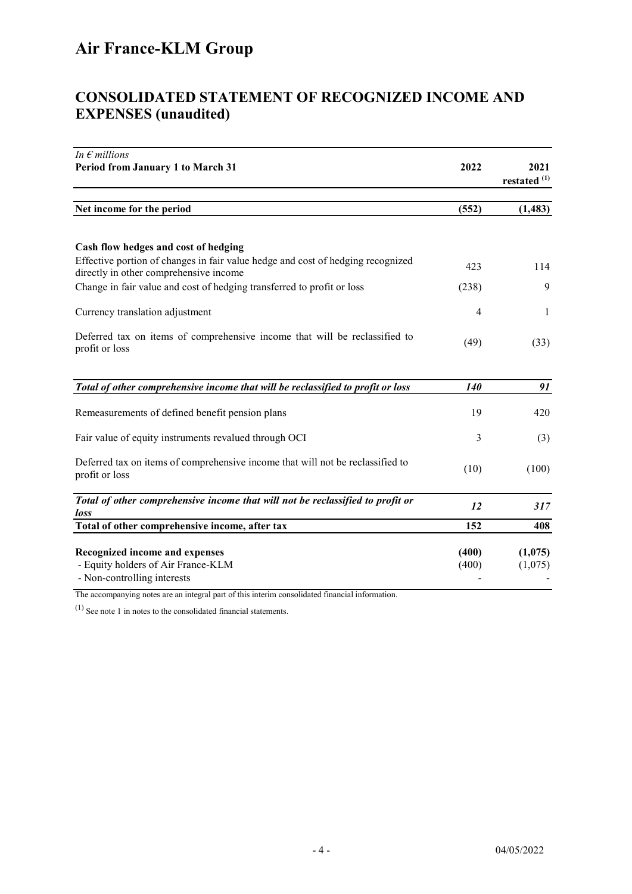### CONSOLIDATED STATEMENT OF RECOGNIZED INCOME AND EXPENSES (unaudited)

| In $\epsilon$ millions                                                                                                    |                |                                 |
|---------------------------------------------------------------------------------------------------------------------------|----------------|---------------------------------|
| Period from January 1 to March 31                                                                                         | 2022           | 2021<br>restated <sup>(1)</sup> |
|                                                                                                                           |                |                                 |
| Net income for the period                                                                                                 | (552)          | (1, 483)                        |
| Cash flow hedges and cost of hedging                                                                                      |                |                                 |
| Effective portion of changes in fair value hedge and cost of hedging recognized<br>directly in other comprehensive income | 423            | 114                             |
| Change in fair value and cost of hedging transferred to profit or loss                                                    | (238)          | 9                               |
| Currency translation adjustment                                                                                           | 4              | 1                               |
| Deferred tax on items of comprehensive income that will be reclassified to<br>profit or loss                              | (49)           | (33)                            |
| Total of other comprehensive income that will be reclassified to profit or loss                                           | 140            | 91                              |
| Remeasurements of defined benefit pension plans                                                                           | 19             | 420                             |
| Fair value of equity instruments revalued through OCI                                                                     | 3              | (3)                             |
| Deferred tax on items of comprehensive income that will not be reclassified to<br>profit or loss                          | (10)           | (100)                           |
| Total of other comprehensive income that will not be reclassified to profit or<br>loss                                    | <i>12</i>      | 317                             |
| Total of other comprehensive income, after tax                                                                            | 152            | 408                             |
| <b>Recognized income and expenses</b><br>- Equity holders of Air France-KLM                                               | (400)<br>(400) | (1,075)<br>(1,075)              |

The accompanying notes are an integral part of this interim consolidated financial information.

(1) See note 1 in notes to the consolidated financial statements.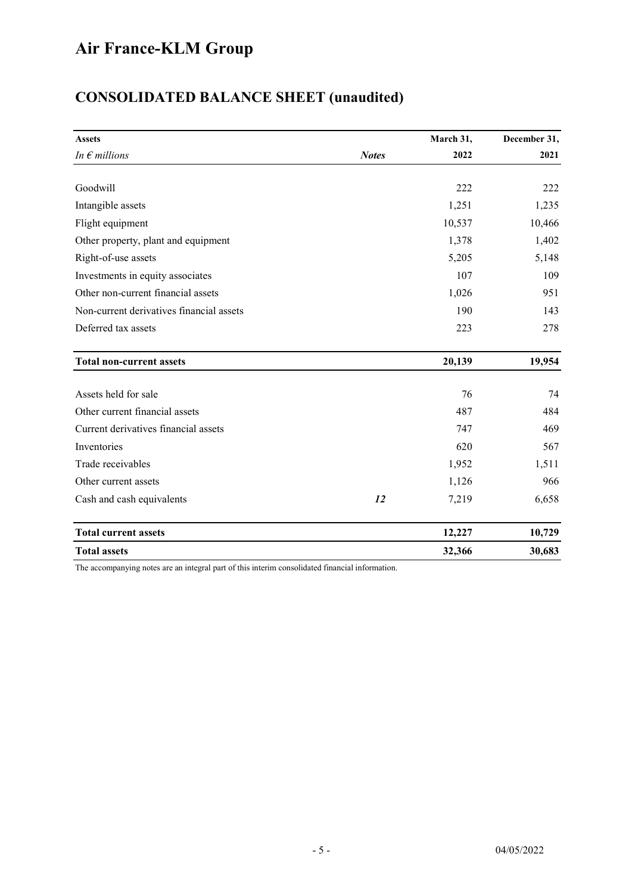| <b>CONSOLIDATED BALANCE SHEET (unaudited)</b> |  |
|-----------------------------------------------|--|
|-----------------------------------------------|--|

| <b>Assets</b>                            |              | March 31, | December 31, |
|------------------------------------------|--------------|-----------|--------------|
| In $\epsilon$ millions                   | <b>Notes</b> | 2022      | 2021         |
|                                          |              |           |              |
| Goodwill                                 |              | 222       | 222          |
| Intangible assets                        |              | 1,251     | 1,235        |
| Flight equipment                         |              | 10,537    | 10,466       |
| Other property, plant and equipment      |              | 1,378     | 1,402        |
| Right-of-use assets                      |              | 5,205     | 5,148        |
| Investments in equity associates         |              | 107       | 109          |
| Other non-current financial assets       |              | 1,026     | 951          |
| Non-current derivatives financial assets |              | 190       | 143          |
| Deferred tax assets                      |              | 223       | 278          |
| <b>Total non-current assets</b>          |              | 20,139    | 19,954       |
| Assets held for sale                     |              | 76        | 74           |
| Other current financial assets           |              | 487       | 484          |
| Current derivatives financial assets     |              | 747       | 469          |
| Inventories                              |              | 620       | 567          |
| Trade receivables                        |              | 1,952     | 1,511        |
| Other current assets                     |              | 1,126     | 966          |
| Cash and cash equivalents                | 12           | 7,219     | 6,658        |
| <b>Total current assets</b>              |              | 12,227    | 10,729       |
| <b>Total assets</b>                      |              | 32,366    | 30,683       |

The accompanying notes are an integral part of this interim consolidated financial information.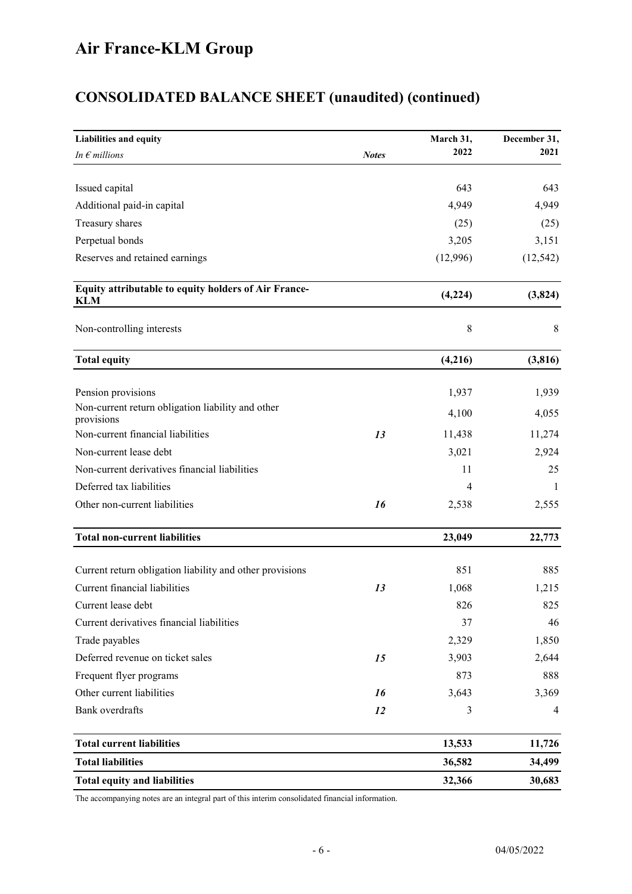# CONSOLIDATED BALANCE SHEET (unaudited) (continued)

| Liabilities and equity                                             |              | March 31,   | December 31, |
|--------------------------------------------------------------------|--------------|-------------|--------------|
| In $\epsilon$ millions                                             | <b>Notes</b> | 2022        | 2021         |
|                                                                    |              |             |              |
| Issued capital                                                     |              | 643         | 643          |
| Additional paid-in capital                                         |              | 4,949       | 4,949        |
| Treasury shares                                                    |              | (25)        | (25)         |
| Perpetual bonds                                                    |              | 3,205       | 3,151        |
| Reserves and retained earnings                                     |              | (12,996)    | (12, 542)    |
| Equity attributable to equity holders of Air France-<br><b>KLM</b> |              | (4,224)     | (3, 824)     |
| Non-controlling interests                                          |              | $\,$ 8 $\,$ | 8            |
| <b>Total equity</b>                                                |              | (4,216)     | (3, 816)     |
| Pension provisions                                                 |              | 1,937       | 1,939        |
| Non-current return obligation liability and other                  |              |             |              |
| provisions                                                         |              | 4,100       | 4,055        |
| Non-current financial liabilities                                  | 13           | 11,438      | 11,274       |
| Non-current lease debt                                             |              | 3,021       | 2,924        |
| Non-current derivatives financial liabilities                      |              | 11          | 25           |
| Deferred tax liabilities                                           |              | 4           | -1           |
| Other non-current liabilities                                      | 16           | 2,538       | 2,555        |
| <b>Total non-current liabilities</b>                               |              | 23,049      | 22,773       |
|                                                                    |              |             |              |
| Current return obligation liability and other provisions           |              | 851         | 885          |
| Current financial liabilities                                      | 13           | 1,068       | 1,215        |
| Current lease debt                                                 |              | 826         | 825          |
| Current derivatives financial liabilities                          |              | 37          | 46           |
| Trade payables                                                     |              | 2,329       | 1,850        |
| Deferred revenue on ticket sales                                   | 15           | 3,903       | 2,644        |
| Frequent flyer programs                                            |              | 873         | 888          |
| Other current liabilities                                          | 16           | 3,643       | 3,369        |
| <b>Bank</b> overdrafts                                             | 12           | 3           | 4            |
| <b>Total current liabilities</b>                                   |              | 13,533      | 11,726       |
| <b>Total liabilities</b>                                           |              | 36,582      | 34,499       |
| <b>Total equity and liabilities</b>                                |              | 32,366      | 30,683       |

The accompanying notes are an integral part of this interim consolidated financial information.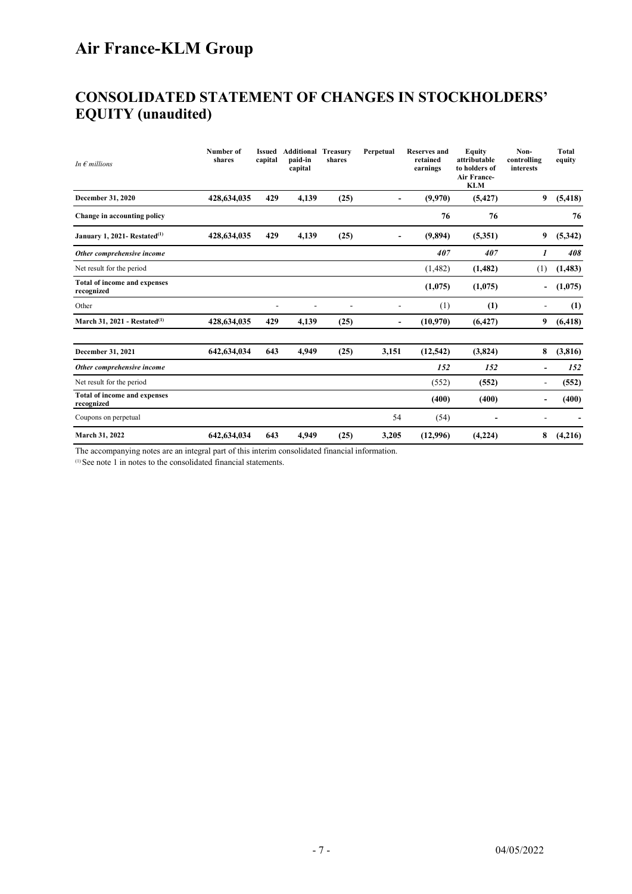### CONSOLIDATED STATEMENT OF CHANGES IN STOCKHOLDERS' EQUITY (unaudited)

| In $\epsilon$ millions                     | Number of<br>shares | <b>Issued</b><br>capital | Additional<br>paid-in<br>capital | Treasury<br>shares | Perpetual                | <b>Reserves and</b><br>retained<br>earnings | Equity<br>attributable<br>to holders of<br>Air France-<br><b>KLM</b> | Non-<br>controlling<br>interests | <b>Total</b><br>equity |
|--------------------------------------------|---------------------|--------------------------|----------------------------------|--------------------|--------------------------|---------------------------------------------|----------------------------------------------------------------------|----------------------------------|------------------------|
| December 31, 2020                          | 428,634,035         | 429                      | 4,139                            | (25)               | $\overline{\phantom{a}}$ | (9,970)                                     | (5, 427)                                                             | 9                                | (5, 418)               |
| Change in accounting policy                |                     |                          |                                  |                    |                          | 76                                          | 76                                                                   |                                  | 76                     |
| January 1, 2021- Restated <sup>(1)</sup>   | 428,634,035         | 429                      | 4,139                            | (25)               |                          | (9,894)                                     | (5,351)                                                              | 9                                | (5,342)                |
| Other comprehensive income                 |                     |                          |                                  |                    |                          | 407                                         | 407                                                                  | 1                                | 408                    |
| Net result for the period                  |                     |                          |                                  |                    |                          | (1,482)                                     | (1, 482)                                                             | (1)                              | (1,483)                |
| Total of income and expenses<br>recognized |                     |                          |                                  |                    |                          | (1,075)                                     | (1,075)                                                              |                                  | (1,075)                |
| Other                                      |                     | ٠                        | ۰                                |                    |                          | (1)                                         | (1)                                                                  | ۰                                | (1)                    |
| March 31, 2021 - Restated $^{(1)}$         | 428,634,035         | 429                      | 4.139                            | (25)               | $\overline{\phantom{0}}$ | (10,970)                                    | (6, 427)                                                             | 9                                | (6, 418)               |
| December 31, 2021                          | 642,634,034         | 643                      | 4,949                            | (25)               | 3,151                    | (12, 542)                                   | (3,824)                                                              | 8                                | (3,816)                |
| Other comprehensive income                 |                     |                          |                                  |                    |                          | 152                                         | 152                                                                  |                                  | 152                    |
| Net result for the period                  |                     |                          |                                  |                    |                          | (552)                                       | (552)                                                                | ۰                                | (552)                  |
| Total of income and expenses<br>recognized |                     |                          |                                  |                    |                          | (400)                                       | (400)                                                                |                                  | (400)                  |
| Coupons on perpetual                       |                     |                          |                                  |                    | 54                       | (54)                                        |                                                                      |                                  |                        |
| March 31, 2022                             | 642, 634, 034       | 643                      | 4.949                            | (25)               | 3,205                    | (12,996)                                    | (4,224)                                                              | 8                                | (4,216)                |

The accompanying notes are an integral part of this interim consolidated financial information.

(1) See note 1 in notes to the consolidated financial statements.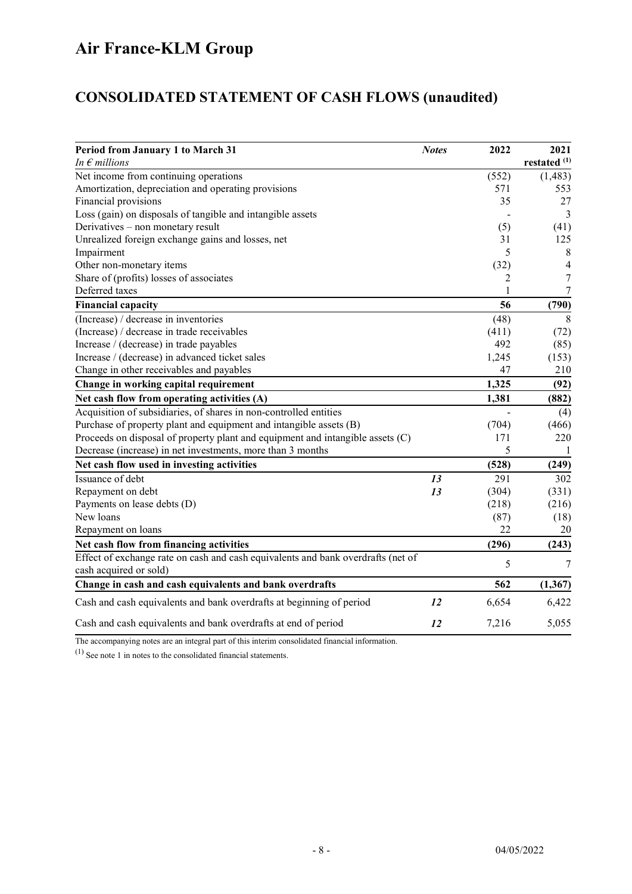# CONSOLIDATED STATEMENT OF CASH FLOWS (unaudited)

| Period from January 1 to March 31<br>In $\epsilon$ millions                      | <b>Notes</b> | 2022         | 2021<br>restated <sup>(1)</sup> |
|----------------------------------------------------------------------------------|--------------|--------------|---------------------------------|
| Net income from continuing operations                                            |              | (552)        | (1, 483)                        |
| Amortization, depreciation and operating provisions                              |              | 571          | 553                             |
| Financial provisions                                                             |              | 35           | 27                              |
| Loss (gain) on disposals of tangible and intangible assets                       |              |              | 3                               |
| Derivatives - non monetary result                                                |              | (5)          | (41)                            |
| Unrealized foreign exchange gains and losses, net                                |              | 31           | 125                             |
| Impairment                                                                       |              | 5            | 8                               |
| Other non-monetary items                                                         |              | (32)         | 4                               |
| Share of (profits) losses of associates                                          |              | 2            | 7                               |
| Deferred taxes                                                                   |              | $\mathbf{1}$ | 7                               |
| <b>Financial capacity</b>                                                        |              | 56           | (790)                           |
| (Increase) / decrease in inventories                                             |              | (48)         | 8                               |
| (Increase) / decrease in trade receivables                                       |              | (411)        | (72)                            |
| Increase / (decrease) in trade payables                                          |              | 492          | (85)                            |
| Increase / (decrease) in advanced ticket sales                                   |              | 1,245        | (153)                           |
| Change in other receivables and payables                                         |              | 47           | 210                             |
| Change in working capital requirement                                            |              | 1,325        | (92)                            |
| Net cash flow from operating activities (A)                                      |              | 1,381        | (882)                           |
| Acquisition of subsidiaries, of shares in non-controlled entities                |              |              | (4)                             |
| Purchase of property plant and equipment and intangible assets (B)               |              | (704)        | (466)                           |
| Proceeds on disposal of property plant and equipment and intangible assets (C)   |              | 171          | 220                             |
| Decrease (increase) in net investments, more than 3 months                       |              | 5            | -1                              |
| Net cash flow used in investing activities                                       |              | (528)        | (249)                           |
| Issuance of debt                                                                 | 13           | 291          | 302                             |
| Repayment on debt                                                                | 13           | (304)        | (331)                           |
| Payments on lease debts (D)                                                      |              | (218)        | (216)                           |
| New loans                                                                        |              | (87)         | (18)                            |
| Repayment on loans                                                               |              | 22           | 20                              |
| Net cash flow from financing activities                                          |              | (296)        | (243)                           |
| Effect of exchange rate on cash and cash equivalents and bank overdrafts (net of |              | 5            | 7                               |
| cash acquired or sold)                                                           |              |              |                                 |
| Change in cash and cash equivalents and bank overdrafts                          |              | 562          | (1, 367)                        |
| Cash and cash equivalents and bank overdrafts at beginning of period             | 12           | 6,654        | 6,422                           |
| Cash and cash equivalents and bank overdrafts at end of period                   | 12           | 7,216        | 5,055                           |

The accompanying notes are an integral part of this interim consolidated financial information.

(1) See note 1 in notes to the consolidated financial statements.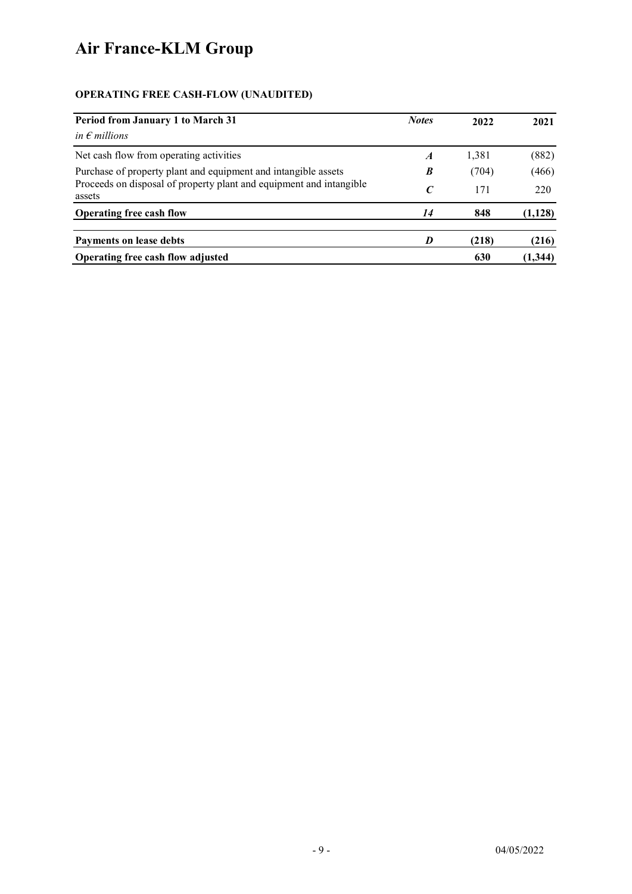# OPERATING FREE CASH-FLOW (UNAUDITED)

| <b>Period from January 1 to March 31</b>                                      | <b>Notes</b>     | 2022  | 2021     |
|-------------------------------------------------------------------------------|------------------|-------|----------|
| in $\epsilon$ millions                                                        |                  |       |          |
| Net cash flow from operating activities                                       | $\boldsymbol{A}$ | 1,381 | (882)    |
| Purchase of property plant and equipment and intangible assets                | B                | (704) | (466)    |
| Proceeds on disposal of property plant and equipment and intangible<br>assets | $\mathcal{C}$    | 171   | 220      |
| <b>Operating free cash flow</b>                                               | 14               | 848   | (1, 128) |
| Payments on lease debts                                                       |                  | (218) | (216)    |
| Operating free cash flow adjusted                                             |                  | 630   | (1,344)  |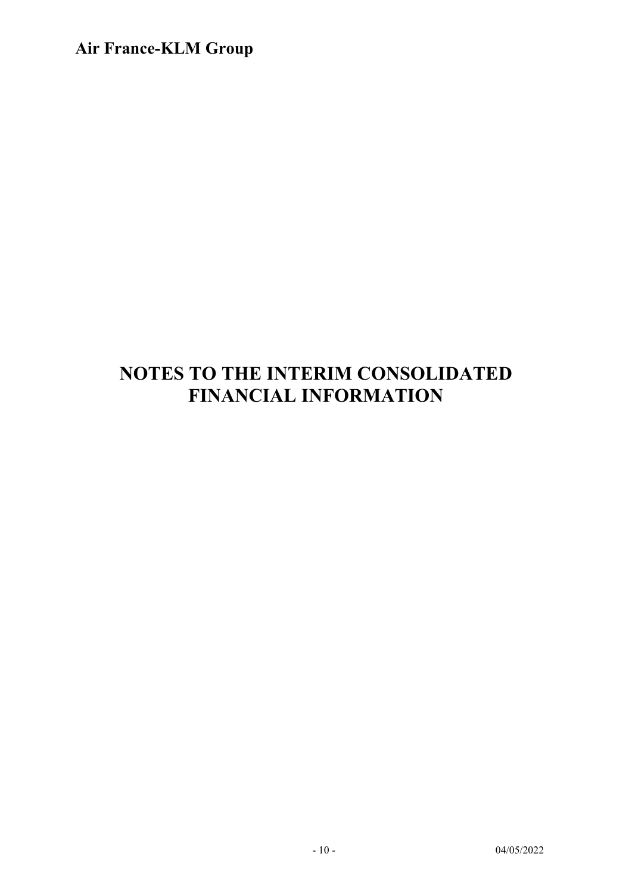# NOTES TO THE INTERIM CONSOLIDATED FINANCIAL INFORMATION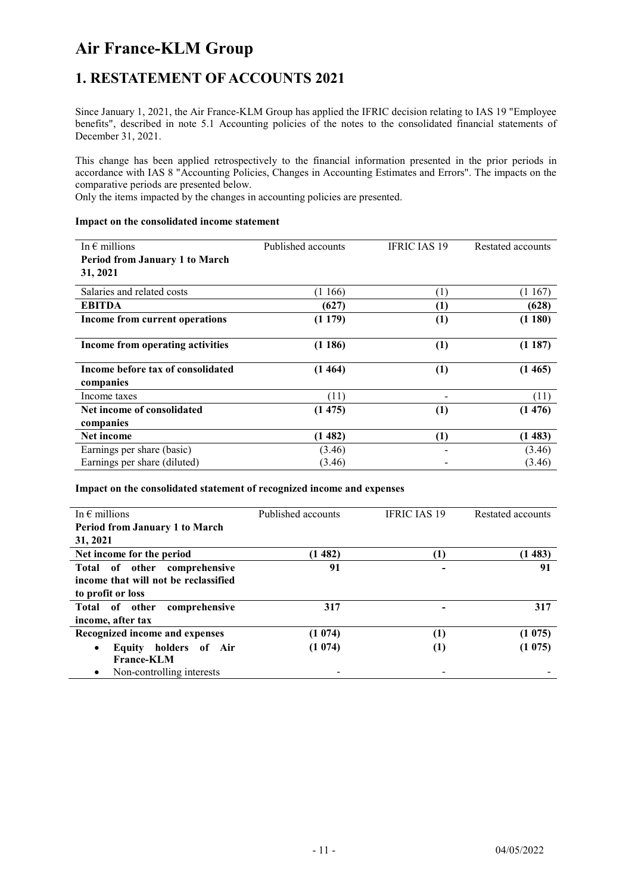### 1. RESTATEMENT OF ACCOUNTS 2021

Since January 1, 2021, the Air France-KLM Group has applied the IFRIC decision relating to IAS 19 "Employee benefits", described in note 5.1 Accounting policies of the notes to the consolidated financial statements of December 31, 2021.

This change has been applied retrospectively to the financial information presented in the prior periods in accordance with IAS 8 "Accounting Policies, Changes in Accounting Estimates and Errors". The impacts on the comparative periods are presented below.

Only the items impacted by the changes in accounting policies are presented.

#### Impact on the consolidated income statement

| In $\epsilon$ millions                | Published accounts | <b>IFRIC IAS 19</b> | Restated accounts |
|---------------------------------------|--------------------|---------------------|-------------------|
| <b>Period from January 1 to March</b> |                    |                     |                   |
| 31, 2021                              |                    |                     |                   |
| Salaries and related costs            | (1166)             | (1)                 | (1167)            |
| <b>EBITDA</b>                         | (627)              | (1)                 | (628)             |
| Income from current operations        | (1179)             | (1)                 | (1180)            |
| Income from operating activities      | (1186)             | (1)                 | (1187)            |
| Income before tax of consolidated     | (1464)             | (1)                 | (1465)            |
| companies                             |                    |                     |                   |
| Income taxes                          | (11)               |                     | (11)              |
| Net income of consolidated            | (1475)             | (1)                 | (1476)            |
| companies                             |                    |                     |                   |
| Net income                            | (1482)             | (1)                 | (1483)            |
| Earnings per share (basic)            | (3.46)             |                     | (3.46)            |
| Earnings per share (diluted)          | (3.46)             |                     | (3.46)            |

#### Impact on the consolidated statement of recognized income and expenses

| In $\epsilon$ millions                 | Published accounts | <b>IFRIC JAS 19</b> | Restated accounts |
|----------------------------------------|--------------------|---------------------|-------------------|
| <b>Period from January 1 to March</b>  |                    |                     |                   |
| 31, 2021                               |                    |                     |                   |
| Net income for the period              | (1482)             | $\left(1\right)$    | (1483)            |
| Total of other comprehensive           | 91                 |                     | 91                |
| income that will not be reclassified   |                    |                     |                   |
| to profit or loss                      |                    |                     |                   |
| Total of other<br>comprehensive        | 317                |                     | 317               |
| income, after tax                      |                    |                     |                   |
| Recognized income and expenses         | (1074)             | (1)                 | (1075)            |
| Equity holders of Air<br>$\bullet$     | (1074)             | $\left(1\right)$    | (1075)            |
| <b>France-KLM</b>                      |                    |                     |                   |
| Non-controlling interests<br>$\bullet$ |                    |                     |                   |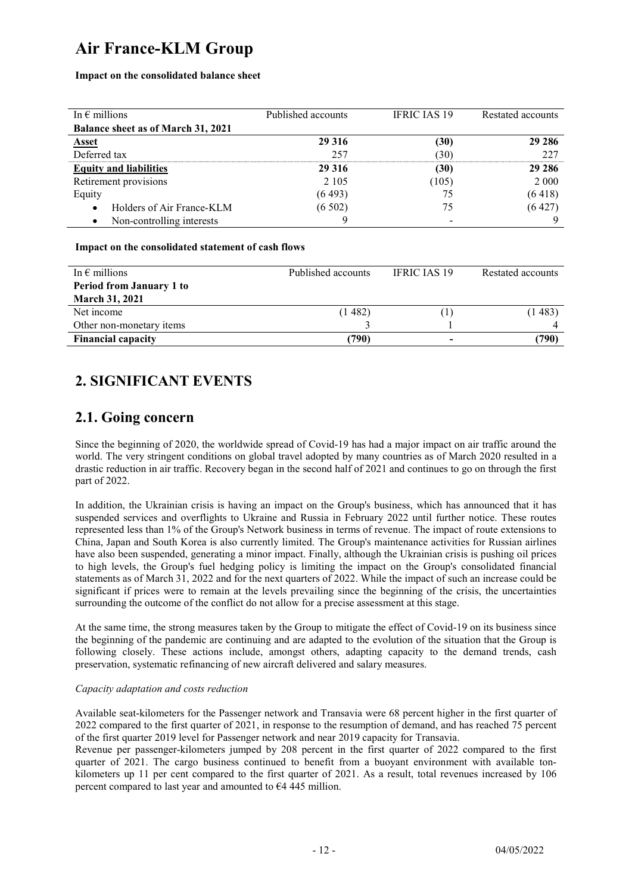Impact on the consolidated balance sheet

| In $\epsilon$ millions                    | Published accounts | <b>IFRIC IAS 19</b> | Restated accounts |
|-------------------------------------------|--------------------|---------------------|-------------------|
| <b>Balance sheet as of March 31, 2021</b> |                    |                     |                   |
| <b>Asset</b>                              | 29 3 16            | (30)                | 29 28 6           |
| Deferred tax                              | 257                | (30)                | 227               |
| <b>Equity and liabilities</b>             | 29 3 16            | (30)                | 29 28 6           |
| Retirement provisions                     | 2 1 0 5            | (105)               | 2 0 0 0           |
| Equity                                    | (6493)             | 75                  | (6418)            |
| Holders of Air France-KLM                 | (6502)             | 75                  | (6427)            |
| Non-controlling interests<br>٠            |                    |                     |                   |

#### Impact on the consolidated statement of cash flows

| In $\epsilon$ millions          | Published accounts | <b>IFRIC JAS 19</b> | Restated accounts |
|---------------------------------|--------------------|---------------------|-------------------|
| <b>Period from January 1 to</b> |                    |                     |                   |
| <b>March 31, 2021</b>           |                    |                     |                   |
| Net income                      | (1482)             |                     | (1483)            |
| Other non-monetary items        |                    |                     |                   |
| <b>Financial capacity</b>       | 790)               |                     | (790)             |

### 2. SIGNIFICANT EVENTS

### 2.1. Going concern

Since the beginning of 2020, the worldwide spread of Covid-19 has had a major impact on air traffic around the world. The very stringent conditions on global travel adopted by many countries as of March 2020 resulted in a drastic reduction in air traffic. Recovery began in the second half of 2021 and continues to go on through the first part of 2022.

In addition, the Ukrainian crisis is having an impact on the Group's business, which has announced that it has suspended services and overflights to Ukraine and Russia in February 2022 until further notice. These routes represented less than 1% of the Group's Network business in terms of revenue. The impact of route extensions to China, Japan and South Korea is also currently limited. The Group's maintenance activities for Russian airlines have also been suspended, generating a minor impact. Finally, although the Ukrainian crisis is pushing oil prices to high levels, the Group's fuel hedging policy is limiting the impact on the Group's consolidated financial statements as of March 31, 2022 and for the next quarters of 2022. While the impact of such an increase could be significant if prices were to remain at the levels prevailing since the beginning of the crisis, the uncertainties surrounding the outcome of the conflict do not allow for a precise assessment at this stage.

At the same time, the strong measures taken by the Group to mitigate the effect of Covid-19 on its business since the beginning of the pandemic are continuing and are adapted to the evolution of the situation that the Group is following closely. These actions include, amongst others, adapting capacity to the demand trends, cash preservation, systematic refinancing of new aircraft delivered and salary measures.

#### Capacity adaptation and costs reduction

Available seat-kilometers for the Passenger network and Transavia were 68 percent higher in the first quarter of 2022 compared to the first quarter of 2021, in response to the resumption of demand, and has reached 75 percent of the first quarter 2019 level for Passenger network and near 2019 capacity for Transavia.

Revenue per passenger-kilometers jumped by 208 percent in the first quarter of 2022 compared to the first quarter of 2021. The cargo business continued to benefit from a buoyant environment with available tonkilometers up 11 per cent compared to the first quarter of 2021. As a result, total revenues increased by 106 percent compared to last year and amounted to  $64445$  million.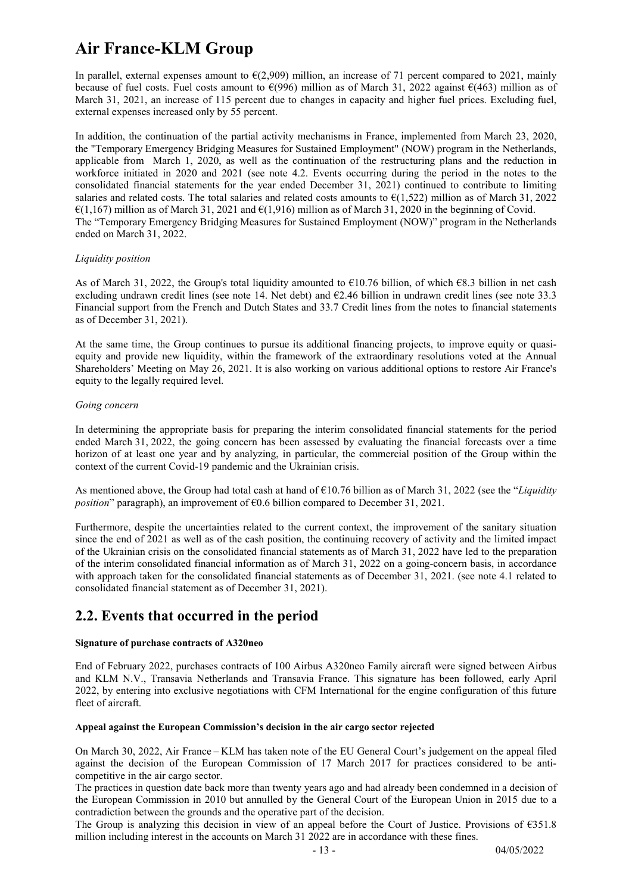In parallel, external expenses amount to  $\epsilon$ (2,909) million, an increase of 71 percent compared to 2021, mainly because of fuel costs. Fuel costs amount to  $\epsilon$ (996) million as of March 31, 2022 against  $\epsilon$ (463) million as of March 31, 2021, an increase of 115 percent due to changes in capacity and higher fuel prices. Excluding fuel, external expenses increased only by 55 percent.

In addition, the continuation of the partial activity mechanisms in France, implemented from March 23, 2020, the "Temporary Emergency Bridging Measures for Sustained Employment" (NOW) program in the Netherlands, applicable from March 1, 2020, as well as the continuation of the restructuring plans and the reduction in workforce initiated in 2020 and 2021 (see note 4.2. Events occurring during the period in the notes to the consolidated financial statements for the year ended December 31, 2021) continued to contribute to limiting salaries and related costs. The total salaries and related costs amounts to  $\epsilon$ (1,522) million as of March 31, 2022  $\mathcal{E}(1,167)$  million as of March 31, 2021 and  $\mathcal{E}(1,916)$  million as of March 31, 2020 in the beginning of Covid. The "Temporary Emergency Bridging Measures for Sustained Employment (NOW)" program in the Netherlands ended on March 31, 2022.

#### Liquidity position

As of March 31, 2022, the Group's total liquidity amounted to  $\epsilon$ 10.76 billion, of which  $\epsilon$ 8.3 billion in net cash excluding undrawn credit lines (see note 14. Net debt) and  $E2.46$  billion in undrawn credit lines (see note 33.3 Financial support from the French and Dutch States and 33.7 Credit lines from the notes to financial statements as of December 31, 2021).

At the same time, the Group continues to pursue its additional financing projects, to improve equity or quasiequity and provide new liquidity, within the framework of the extraordinary resolutions voted at the Annual Shareholders' Meeting on May 26, 2021. It is also working on various additional options to restore Air France's equity to the legally required level.

#### Going concern

In determining the appropriate basis for preparing the interim consolidated financial statements for the period ended March 31, 2022, the going concern has been assessed by evaluating the financial forecasts over a time horizon of at least one year and by analyzing, in particular, the commercial position of the Group within the context of the current Covid-19 pandemic and the Ukrainian crisis.

As mentioned above, the Group had total cash at hand of  $\epsilon$ 10.76 billion as of March 31, 2022 (see the "Liquidity *position*" paragraph), an improvement of  $\epsilon$ 0.6 billion compared to December 31, 2021.

Furthermore, despite the uncertainties related to the current context, the improvement of the sanitary situation since the end of 2021 as well as of the cash position, the continuing recovery of activity and the limited impact of the Ukrainian crisis on the consolidated financial statements as of March 31, 2022 have led to the preparation of the interim consolidated financial information as of March 31, 2022 on a going-concern basis, in accordance with approach taken for the consolidated financial statements as of December 31, 2021. (see note 4.1 related to consolidated financial statement as of December 31, 2021).

### 2.2. Events that occurred in the period

#### Signature of purchase contracts of A320neo

End of February 2022, purchases contracts of 100 Airbus A320neo Family aircraft were signed between Airbus and KLM N.V., Transavia Netherlands and Transavia France. This signature has been followed, early April 2022, by entering into exclusive negotiations with CFM International for the engine configuration of this future fleet of aircraft.

#### Appeal against the European Commission's decision in the air cargo sector rejected

On March 30, 2022, Air France – KLM has taken note of the EU General Court's judgement on the appeal filed against the decision of the European Commission of 17 March 2017 for practices considered to be anticompetitive in the air cargo sector.

The practices in question date back more than twenty years ago and had already been condemned in a decision of the European Commission in 2010 but annulled by the General Court of the European Union in 2015 due to a contradiction between the grounds and the operative part of the decision.

The Group is analyzing this decision in view of an appeal before the Court of Justice. Provisions of €351.8 million including interest in the accounts on March 31 2022 are in accordance with these fines.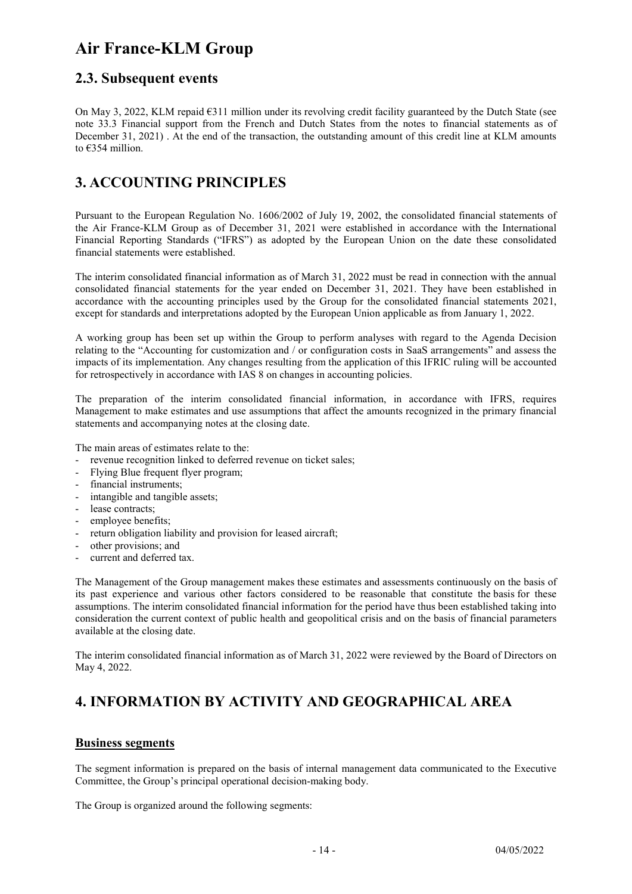### 2.3. Subsequent events

On May 3, 2022, KLM repaid  $6311$  million under its revolving credit facility guaranteed by the Dutch State (see note 33.3 Financial support from the French and Dutch States from the notes to financial statements as of December 31, 2021) . At the end of the transaction, the outstanding amount of this credit line at KLM amounts to €354 million.

### 3. ACCOUNTING PRINCIPLES

Pursuant to the European Regulation No. 1606/2002 of July 19, 2002, the consolidated financial statements of the Air France-KLM Group as of December 31, 2021 were established in accordance with the International Financial Reporting Standards ("IFRS") as adopted by the European Union on the date these consolidated financial statements were established.

The interim consolidated financial information as of March 31, 2022 must be read in connection with the annual consolidated financial statements for the year ended on December 31, 2021. They have been established in accordance with the accounting principles used by the Group for the consolidated financial statements 2021, except for standards and interpretations adopted by the European Union applicable as from January 1, 2022.

A working group has been set up within the Group to perform analyses with regard to the Agenda Decision relating to the "Accounting for customization and / or configuration costs in SaaS arrangements" and assess the impacts of its implementation. Any changes resulting from the application of this IFRIC ruling will be accounted for retrospectively in accordance with IAS 8 on changes in accounting policies.

The preparation of the interim consolidated financial information, in accordance with IFRS, requires Management to make estimates and use assumptions that affect the amounts recognized in the primary financial statements and accompanying notes at the closing date.

The main areas of estimates relate to the:

- revenue recognition linked to deferred revenue on ticket sales;
- Flying Blue frequent flyer program;
- financial instruments;
- intangible and tangible assets;
- lease contracts;
- employee benefits;
- return obligation liability and provision for leased aircraft;
- other provisions; and
- current and deferred tax.

The Management of the Group management makes these estimates and assessments continuously on the basis of its past experience and various other factors considered to be reasonable that constitute the basis for these assumptions. The interim consolidated financial information for the period have thus been established taking into consideration the current context of public health and geopolitical crisis and on the basis of financial parameters available at the closing date.

The interim consolidated financial information as of March 31, 2022 were reviewed by the Board of Directors on May 4, 2022.

## 4. INFORMATION BY ACTIVITY AND GEOGRAPHICAL AREA

#### Business segments

The segment information is prepared on the basis of internal management data communicated to the Executive Committee, the Group's principal operational decision-making body.

The Group is organized around the following segments: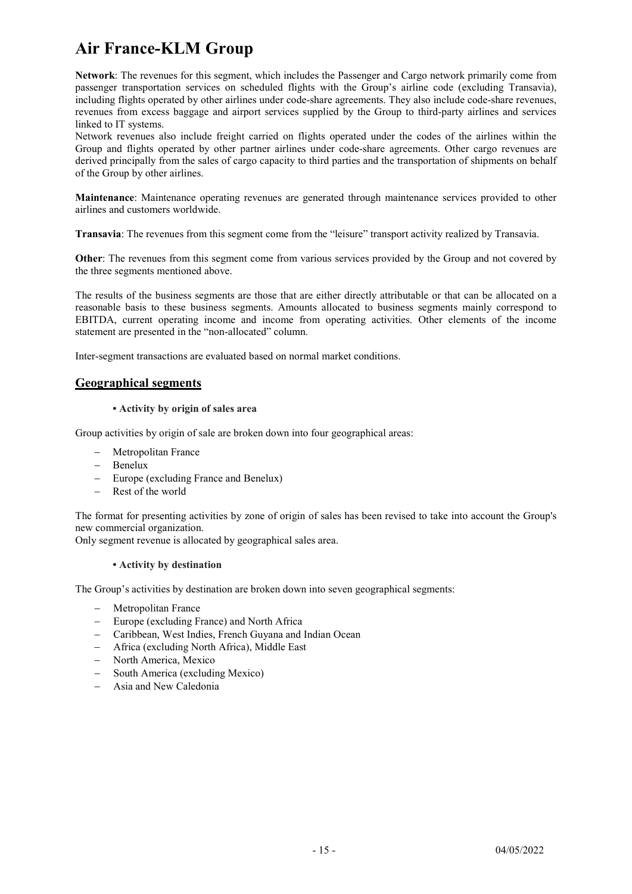Network: The revenues for this segment, which includes the Passenger and Cargo network primarily come from passenger transportation services on scheduled flights with the Group's airline code (excluding Transavia), including flights operated by other airlines under code-share agreements. They also include code-share revenues, revenues from excess baggage and airport services supplied by the Group to third-party airlines and services linked to IT systems.

Network revenues also include freight carried on flights operated under the codes of the airlines within the Group and flights operated by other partner airlines under code-share agreements. Other cargo revenues are derived principally from the sales of cargo capacity to third parties and the transportation of shipments on behalf of the Group by other airlines.

Maintenance: Maintenance operating revenues are generated through maintenance services provided to other airlines and customers worldwide.

Transavia: The revenues from this segment come from the "leisure" transport activity realized by Transavia.

Other: The revenues from this segment come from various services provided by the Group and not covered by the three segments mentioned above.

The results of the business segments are those that are either directly attributable or that can be allocated on a reasonable basis to these business segments. Amounts allocated to business segments mainly correspond to EBITDA, current operating income and income from operating activities. Other elements of the income statement are presented in the "non-allocated" column.

Inter-segment transactions are evaluated based on normal market conditions.

#### Geographical segments

#### • Activity by origin of sales area

Group activities by origin of sale are broken down into four geographical areas:

- Metropolitan France
- Benelux
- Europe (excluding France and Benelux)
- Rest of the world

The format for presenting activities by zone of origin of sales has been revised to take into account the Group's new commercial organization.

Only segment revenue is allocated by geographical sales area.

#### • Activity by destination

The Group's activities by destination are broken down into seven geographical segments:

- Metropolitan France
- Europe (excluding France) and North Africa
- Caribbean, West Indies, French Guyana and Indian Ocean
- Africa (excluding North Africa), Middle East
- North America, Mexico
- South America (excluding Mexico)
- Asia and New Caledonia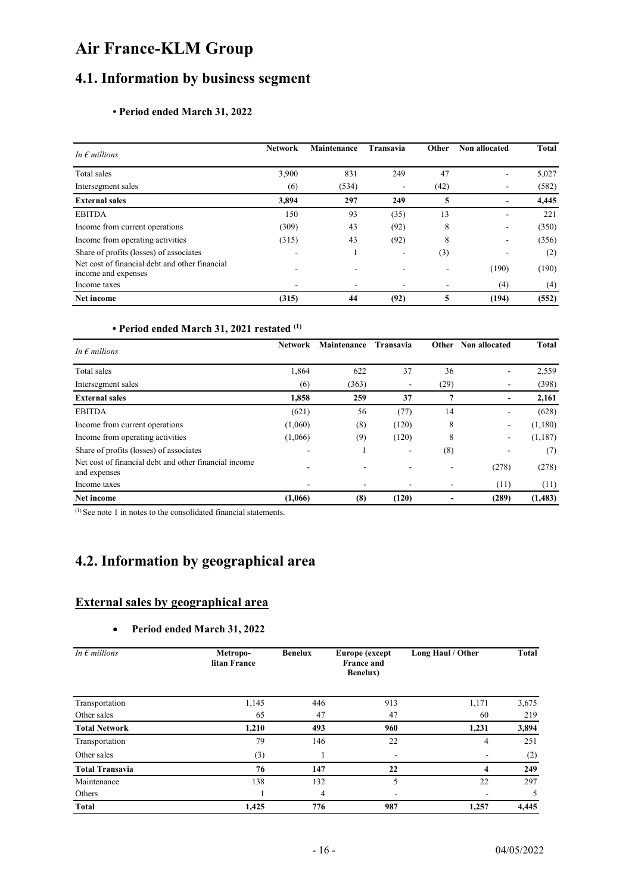### 4.1. Information by business segment

#### • Period ended March 31, 2022

| In $\epsilon$ millions                                                | <b>Network</b> | <b>Maintenance</b> | <b>Transavia</b> | Other | Non allocated            | <b>Total</b> |
|-----------------------------------------------------------------------|----------------|--------------------|------------------|-------|--------------------------|--------------|
| Total sales                                                           | 3,900          | 831                | 249              | 47    | ٠                        | 5,027        |
| Intersegment sales                                                    | (6)            | (534)              |                  | (42)  |                          | (582)        |
| <b>External sales</b>                                                 | 3,894          | 297                | 249              | 5     | $\overline{\phantom{a}}$ | 4,445        |
| <b>EBITDA</b>                                                         | 150            | 93                 | (35)             | 13    | -                        | 221          |
| Income from current operations                                        | (309)          | 43                 | (92)             | 8     | -                        | (350)        |
| Income from operating activities                                      | (315)          | 43                 | (92)             | 8     |                          | (356)        |
| Share of profits (losses) of associates                               |                |                    |                  | (3)   |                          | (2)          |
| Net cost of financial debt and other financial<br>income and expenses |                |                    |                  |       | (190)                    | (190)        |
| Income taxes                                                          |                |                    |                  | ۰     | (4)                      | $^{(4)}$     |
| Net income                                                            | (315)          | 44                 | (92)             | 5     | (194)                    | (552)        |

#### • Period ended March 31, 2021 restated (1)

| In $\epsilon$ millions                                                | <b>Network</b> | <b>Maintenance</b> | Transavia | Other                    | Non allocated | <b>Total</b> |
|-----------------------------------------------------------------------|----------------|--------------------|-----------|--------------------------|---------------|--------------|
| Total sales                                                           | 1,864          | 622                | 37        | 36                       | ۰             | 2,559        |
| Intersegment sales                                                    | (6)            | (363)              |           | (29)                     |               | (398)        |
| <b>External sales</b>                                                 | 1,858          | 259                | 37        | 7                        |               | 2,161        |
| <b>EBITDA</b>                                                         | (621)          | 56                 | (77)      | 14                       | ۰.            | (628)        |
| Income from current operations                                        | (1,060)        | (8)                | (120)     | 8                        | ۰             | (1,180)      |
| Income from operating activities                                      | (1,066)        | (9)                | (120)     | 8                        | -             | (1,187)      |
| Share of profits (losses) of associates                               |                |                    |           | (8)                      |               | (7)          |
| Net cost of financial debt and other financial income<br>and expenses |                |                    |           |                          | (278)         | (278)        |
| Income taxes                                                          |                |                    |           | $\overline{\phantom{a}}$ | (11)          | (11)         |
| Net income                                                            | (1,066)        | (8)                | (120)     |                          | (289)         | (1, 483)     |

(1) See note 1 in notes to the consolidated financial statements.

### 4.2. Information by geographical area

### External sales by geographical area

#### Period ended March 31, 2022

| In $\epsilon$ millions | Metropo-<br>litan France | <b>Benelux</b><br>Europe (except<br><b>France and</b><br><b>Benelux</b> ) |     | Long Haul / Other | Total |
|------------------------|--------------------------|---------------------------------------------------------------------------|-----|-------------------|-------|
| Transportation         | 1,145                    | 446                                                                       | 913 | 1,171             | 3,675 |
| Other sales            | 65                       | 47                                                                        | 47  | 60                | 219   |
| <b>Total Network</b>   | 1,210                    | 493                                                                       | 960 | 1,231             | 3,894 |
| Transportation         | 79                       | 146                                                                       | 22  | 4                 | 251   |
| Other sales            | (3)                      |                                                                           |     |                   | (2)   |
| <b>Total Transavia</b> | 76                       | 147                                                                       | 22  | 4                 | 249   |
| Maintenance            | 138                      | 132                                                                       | 5   | 22                | 297   |
| Others                 |                          | 4                                                                         |     |                   |       |
| <b>Total</b>           | 1,425                    | 776                                                                       | 987 | 1,257             | 4,445 |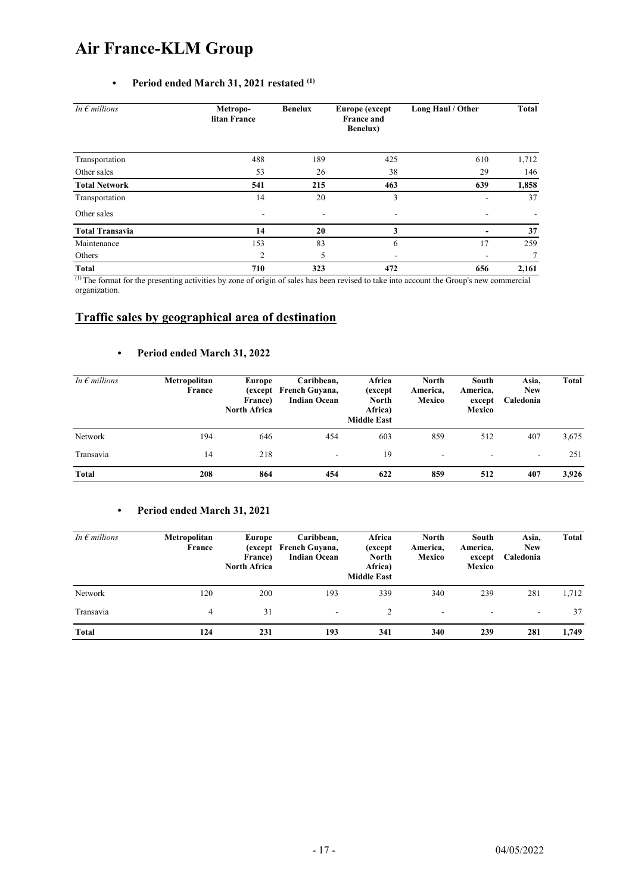#### • Period ended March 31, 2021 restated  $(1)$

| In $\epsilon$ millions | Metropo-<br>litan France | <b>Benelux</b><br>Europe (except |     | Long Haul / Other | Total |  |
|------------------------|--------------------------|----------------------------------|-----|-------------------|-------|--|
| Transportation         | 488                      | 189                              | 425 | 610               | 1,712 |  |
| Other sales            | 53                       | 26                               | 38  | 29                | 146   |  |
| <b>Total Network</b>   | 541                      | 215                              | 463 | 639               | 1,858 |  |
| Transportation         | 14                       | 20                               | 3   |                   | 37    |  |
| Other sales            | $\overline{\phantom{a}}$ | $\overline{\phantom{a}}$         | ٠   |                   |       |  |
| <b>Total Transavia</b> | 14                       | 20                               | 3   |                   | 37    |  |
| Maintenance            | 153                      | 83                               | 6   | 17                | 259   |  |
| Others                 | 2                        | 5                                |     |                   | 7     |  |
| <b>Total</b>           | 710                      | 323                              | 472 | 656               | 2,161 |  |

(1) The format for the presenting activities by zone of origin of sales has been revised to take into account the Group's new commercial organization.

#### Traffic sales by geographical area of destination

#### • Period ended March 31, 2022

| In $\epsilon$ millions | Metropolitan<br>France | Europe<br>France)<br><b>North Africa</b> | Caribbean,<br>(except French Guyana,<br><b>Indian Ocean</b> | Africa<br>(except)<br><b>North</b><br>Africa)<br><b>Middle East</b> | North<br>America,<br>Mexico | South<br>America,<br>except<br>Mexico | Asia,<br><b>New</b><br>Caledonia | <b>Total</b> |
|------------------------|------------------------|------------------------------------------|-------------------------------------------------------------|---------------------------------------------------------------------|-----------------------------|---------------------------------------|----------------------------------|--------------|
| Network                | 194                    | 646                                      | 454                                                         | 603                                                                 | 859                         | 512                                   | 407                              | 3,675        |
| Transavia              | 14                     | 218                                      | ۰                                                           | 19                                                                  | ۰                           |                                       | ۰                                | 251          |
| <b>Total</b>           | 208                    | 864                                      | 454                                                         | 622                                                                 | 859                         | 512                                   | 407                              | 3,926        |

#### • Period ended March 31, 2021

| In $\epsilon$ millions | Metropolitan<br>France | Europe<br>France)<br><b>North Africa</b> | Caribbean,<br>(except French Guyana,<br><b>Indian Ocean</b> | Africa<br>(except)<br><b>North</b><br>Africa)<br><b>Middle East</b> | <b>North</b><br>America,<br>Mexico | South<br>America,<br>except<br>Mexico | Asia,<br><b>New</b><br>Caledonia | Total |
|------------------------|------------------------|------------------------------------------|-------------------------------------------------------------|---------------------------------------------------------------------|------------------------------------|---------------------------------------|----------------------------------|-------|
| Network                | 120                    | 200                                      | 193                                                         | 339                                                                 | 340                                | 239                                   | 281                              | 1,712 |
| Transavia              | 4                      | 31                                       | $\overline{\phantom{a}}$                                    | 2                                                                   | ٠                                  | ٠                                     | $\overline{\phantom{a}}$         | 37    |
| <b>Total</b>           | 124                    | 231                                      | 193                                                         | 341                                                                 | 340                                | 239                                   | 281                              | 1,749 |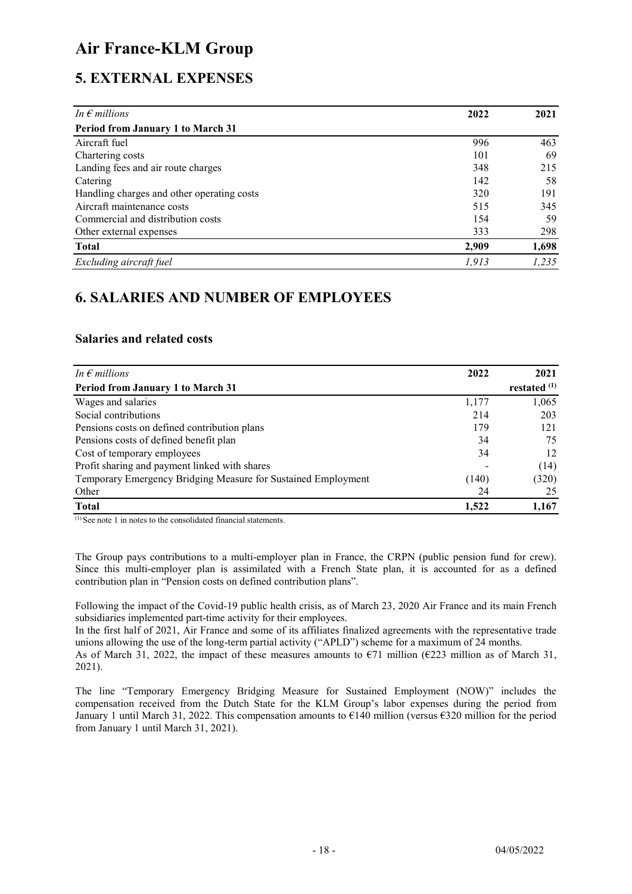### 5. EXTERNAL EXPENSES

| In $\epsilon$ millions                     | 2022  | 2021  |
|--------------------------------------------|-------|-------|
| Period from January 1 to March 31          |       |       |
| Aircraft fuel                              | 996   | 463   |
| Chartering costs                           | 101   | 69    |
| Landing fees and air route charges         | 348   | 215   |
| Catering                                   | 142   | 58    |
| Handling charges and other operating costs | 320   | 191   |
| Aircraft maintenance costs                 | 515   | 345   |
| Commercial and distribution costs          | 154   | 59    |
| Other external expenses                    | 333   | 298   |
| <b>Total</b>                               | 2,909 | 1,698 |
| Excluding aircraft fuel                    | 1,913 | 1,235 |

### 6. SALARIES AND NUMBER OF EMPLOYEES

#### Salaries and related costs

| In $\epsilon$ millions                                        | 2022  | 2021           |
|---------------------------------------------------------------|-------|----------------|
| <b>Period from January 1 to March 31</b>                      |       | restated $(1)$ |
| Wages and salaries                                            | 1,177 | 1,065          |
| Social contributions                                          | 214   | 203            |
| Pensions costs on defined contribution plans                  | 179   | 121            |
| Pensions costs of defined benefit plan                        | 34    | 75             |
| Cost of temporary employees                                   | 34    | 12             |
| Profit sharing and payment linked with shares                 |       | (14)           |
| Temporary Emergency Bridging Measure for Sustained Employment | (140) | (320)          |
| Other                                                         | 24    | 25             |
| <b>Total</b>                                                  | 1,522 | 1.167          |

 $^{(1)}$  See note 1 in notes to the consolidated financial statements.

The Group pays contributions to a multi-employer plan in France, the CRPN (public pension fund for crew). Since this multi-employer plan is assimilated with a French State plan, it is accounted for as a defined contribution plan in "Pension costs on defined contribution plans".

Following the impact of the Covid-19 public health crisis, as of March 23, 2020 Air France and its main French subsidiaries implemented part-time activity for their employees.

In the first half of 2021, Air France and some of its affiliates finalized agreements with the representative trade unions allowing the use of the long-term partial activity ("APLD") scheme for a maximum of 24 months.

As of March 31, 2022, the impact of these measures amounts to  $E$ 1 million ( $E$ 223 million as of March 31, 2021).

The line "Temporary Emergency Bridging Measure for Sustained Employment (NOW)" includes the compensation received from the Dutch State for the KLM Group's labor expenses during the period from January 1 until March 31, 2022. This compensation amounts to €140 million (versus €320 million for the period from January 1 until March 31, 2021).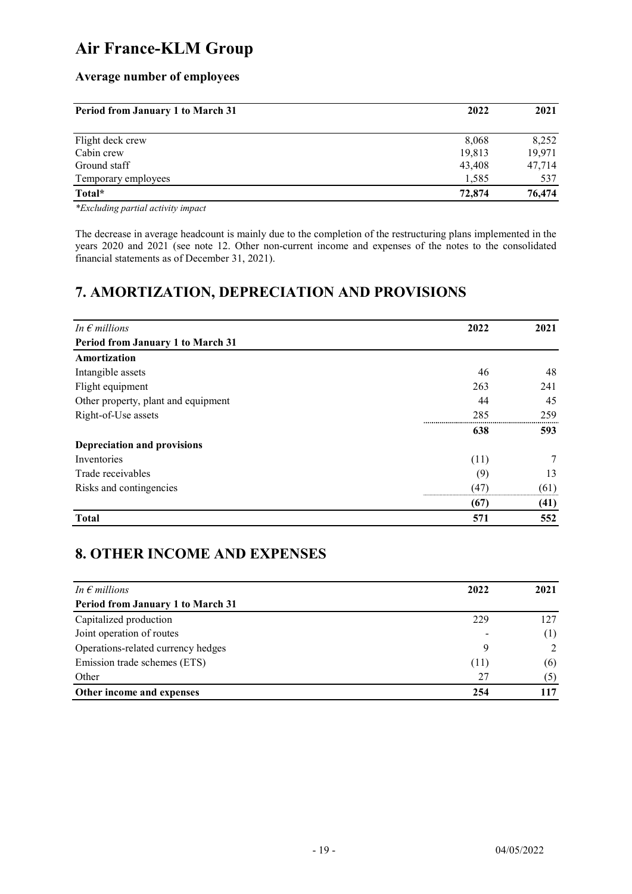### Average number of employees

| <b>Period from January 1 to March 31</b> | 2022   | 2021   |  |
|------------------------------------------|--------|--------|--|
| Flight deck crew                         | 8,068  | 8,252  |  |
| Cabin crew                               | 19,813 | 19,971 |  |
| Ground staff                             | 43,408 | 47,714 |  |
| Temporary employees                      | 1,585  | 537    |  |
| Total*                                   | 72,874 | 76,474 |  |

\*Excluding partial activity impact

The decrease in average headcount is mainly due to the completion of the restructuring plans implemented in the years 2020 and 2021 (see note 12. Other non-current income and expenses of the notes to the consolidated financial statements as of December 31, 2021).

### 7. AMORTIZATION, DEPRECIATION AND PROVISIONS

| In $\epsilon$ millions              | 2022    | 2021 |
|-------------------------------------|---------|------|
| Period from January 1 to March 31   |         |      |
| Amortization                        |         |      |
| Intangible assets                   | 46      | 48   |
| Flight equipment                    | 263     | 241  |
| Other property, plant and equipment | 44      | 45   |
| Right-of-Use assets                 | 285     | 259  |
|                                     | <br>638 | 593  |
| Depreciation and provisions         |         |      |
| Inventories                         | (11)    | 7    |
| Trade receivables                   | (9)     | 13   |
| Risks and contingencies             | (47)    | (61) |
|                                     | (67)    | (41) |
| <b>Total</b>                        | 571     | 552  |

### 8. OTHER INCOME AND EXPENSES

| In $\epsilon$ millions                   | 2022 | 2021 |
|------------------------------------------|------|------|
| <b>Period from January 1 to March 31</b> |      |      |
| Capitalized production                   | 229  | 127  |
| Joint operation of routes                |      | (1)  |
| Operations-related currency hedges       | Q    |      |
| Emission trade schemes (ETS)             | (11) | (6)  |
| Other                                    | 27   | (5)  |
| Other income and expenses                | 254  | 117  |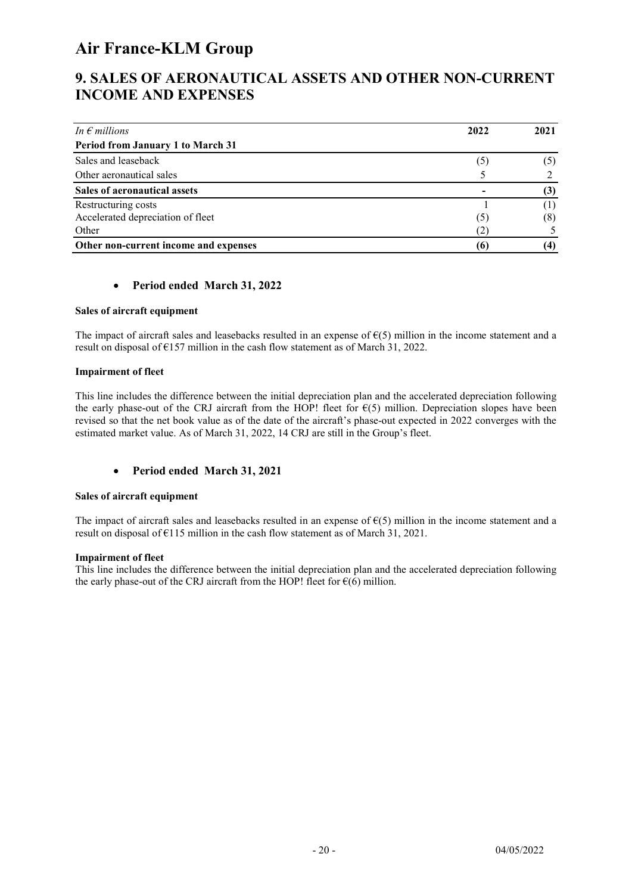### 9. SALES OF AERONAUTICAL ASSETS AND OTHER NON-CURRENT INCOME AND EXPENSES

| In $\epsilon$ millions                | 2022 | 2021  |
|---------------------------------------|------|-------|
| Period from January 1 to March 31     |      |       |
| Sales and leaseback                   | (5   | (၁)   |
| Other aeronautical sales              |      |       |
| Sales of aeronautical assets          |      | (3)   |
| Restructuring costs                   |      | ( 1 ) |
| Accelerated depreciation of fleet     | (5   | (8)   |
| Other                                 |      |       |
| Other non-current income and expenses | 66   | (4)   |

#### Period ended March 31, 2022

#### Sales of aircraft equipment

The impact of aircraft sales and leasebacks resulted in an expense of  $E(5)$  million in the income statement and a result on disposal of €157 million in the cash flow statement as of March 31, 2022.

#### Impairment of fleet

This line includes the difference between the initial depreciation plan and the accelerated depreciation following the early phase-out of the CRJ aircraft from the HOP! fleet for  $\epsilon(5)$  million. Depreciation slopes have been revised so that the net book value as of the date of the aircraft's phase-out expected in 2022 converges with the estimated market value. As of March 31, 2022, 14 CRJ are still in the Group's fleet.

#### Period ended March 31, 2021

#### Sales of aircraft equipment

The impact of aircraft sales and leasebacks resulted in an expense of  $E(5)$  million in the income statement and a result on disposal of  $E115$  million in the cash flow statement as of March 31, 2021.

#### Impairment of fleet

This line includes the difference between the initial depreciation plan and the accelerated depreciation following the early phase-out of the CRJ aircraft from the HOP! fleet for  $\epsilon(6)$  million.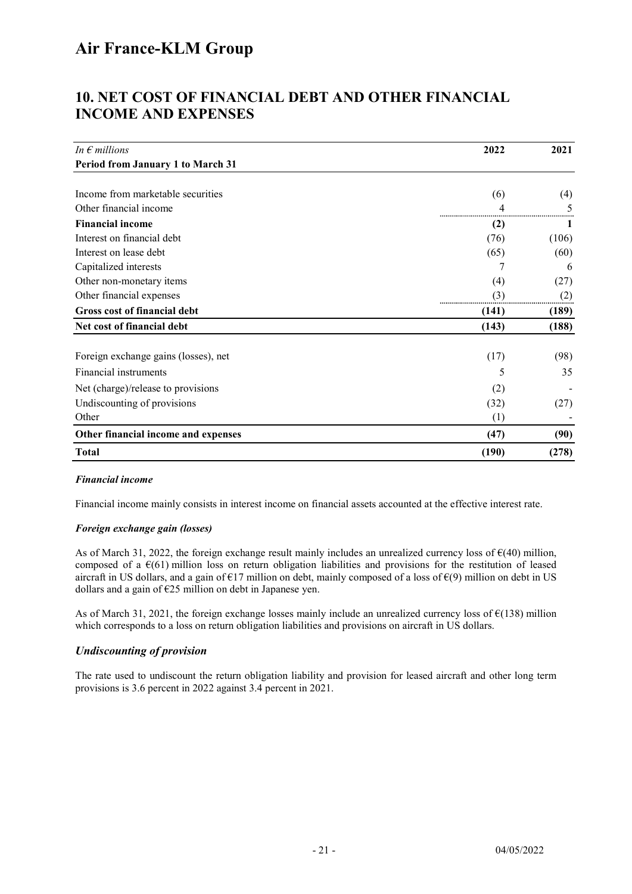### 10. NET COST OF FINANCIAL DEBT AND OTHER FINANCIAL INCOME AND EXPENSES

| In $\epsilon$ millions                   | 2022  | 2021  |
|------------------------------------------|-------|-------|
| <b>Period from January 1 to March 31</b> |       |       |
|                                          |       |       |
| Income from marketable securities        | (6)   | (4)   |
| Other financial income                   |       |       |
| <b>Financial income</b>                  | (2)   |       |
| Interest on financial debt               | (76)  | (106) |
| Interest on lease debt                   | (65)  | (60)  |
| Capitalized interests                    |       | 6     |
| Other non-monetary items                 | (4)   | (27)  |
| Other financial expenses                 | (3)   | (2)   |
| Gross cost of financial debt             | (141) | (189) |
| Net cost of financial debt               | (143) | (188) |
|                                          |       |       |
| Foreign exchange gains (losses), net     | (17)  | (98)  |
| Financial instruments                    | 5     | 35    |
| Net (charge)/release to provisions       | (2)   |       |
| Undiscounting of provisions              | (32)  | (27)  |
| Other                                    | (1)   |       |
| Other financial income and expenses      | (47)  | (90)  |
| <b>Total</b>                             | (190) | (278) |

#### Financial income

Financial income mainly consists in interest income on financial assets accounted at the effective interest rate.

#### Foreign exchange gain (losses)

As of March 31, 2022, the foreign exchange result mainly includes an unrealized currency loss of €(40) million, composed of a  $\epsilon$ (61) million loss on return obligation liabilities and provisions for the restitution of leased aircraft in US dollars, and a gain of  $E17$  million on debt, mainly composed of a loss of  $E(9)$  million on debt in US dollars and a gain of  $E25$  million on debt in Japanese yen.

As of March 31, 2021, the foreign exchange losses mainly include an unrealized currency loss of  $\epsilon$ (138) million which corresponds to a loss on return obligation liabilities and provisions on aircraft in US dollars.

#### Undiscounting of provision

The rate used to undiscount the return obligation liability and provision for leased aircraft and other long term provisions is 3.6 percent in 2022 against 3.4 percent in 2021.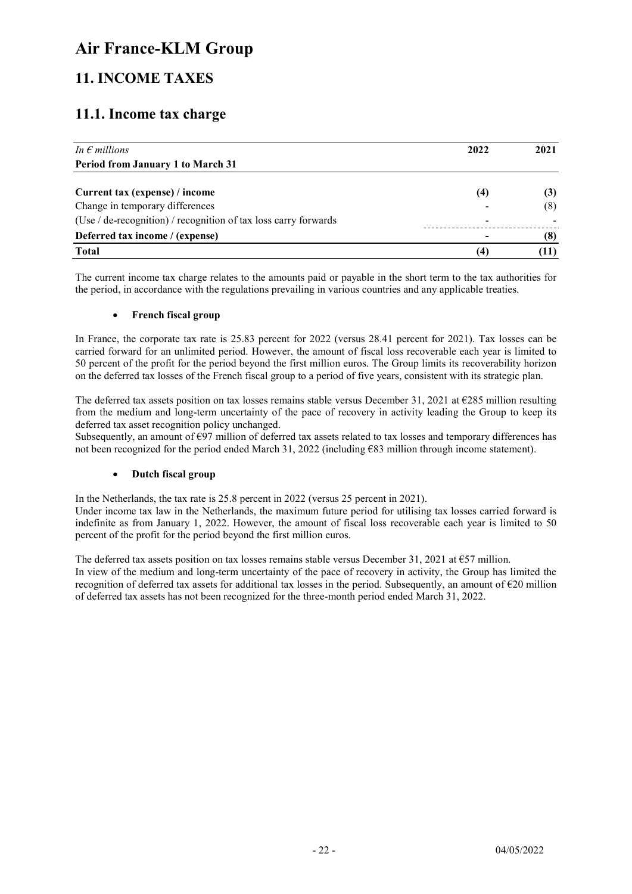### 11. INCOME TAXES

### 11.1. Income tax charge

| In $\epsilon$ millions                                          | 2022                     | 2021 |
|-----------------------------------------------------------------|--------------------------|------|
| <b>Period from January 1 to March 31</b>                        |                          |      |
| Current tax (expense) / income                                  | (4)                      | (3)  |
| Change in temporary differences                                 |                          | (8)  |
| (Use / de-recognition) / recognition of tax loss carry forwards | $\overline{\phantom{0}}$ |      |
| Deferred tax income / (expense)                                 |                          | (8)  |
| <b>Total</b>                                                    | (4)                      | Ш    |

The current income tax charge relates to the amounts paid or payable in the short term to the tax authorities for the period, in accordance with the regulations prevailing in various countries and any applicable treaties.

#### • French fiscal group

In France, the corporate tax rate is 25.83 percent for 2022 (versus 28.41 percent for 2021). Tax losses can be carried forward for an unlimited period. However, the amount of fiscal loss recoverable each year is limited to 50 percent of the profit for the period beyond the first million euros. The Group limits its recoverability horizon on the deferred tax losses of the French fiscal group to a period of five years, consistent with its strategic plan.

The deferred tax assets position on tax losses remains stable versus December 31, 2021 at €285 million resulting from the medium and long-term uncertainty of the pace of recovery in activity leading the Group to keep its deferred tax asset recognition policy unchanged.

Subsequently, an amount of  $\epsilon$ 97 million of deferred tax assets related to tax losses and temporary differences has not been recognized for the period ended March 31, 2022 (including €83 million through income statement).

#### Dutch fiscal group

In the Netherlands, the tax rate is 25.8 percent in 2022 (versus 25 percent in 2021).

Under income tax law in the Netherlands, the maximum future period for utilising tax losses carried forward is indefinite as from January 1, 2022. However, the amount of fiscal loss recoverable each year is limited to 50 percent of the profit for the period beyond the first million euros.

The deferred tax assets position on tax losses remains stable versus December 31, 2021 at  $\epsilon$ 57 million. In view of the medium and long-term uncertainty of the pace of recovery in activity, the Group has limited the recognition of deferred tax assets for additional tax losses in the period. Subsequently, an amount of  $\epsilon$ 20 million of deferred tax assets has not been recognized for the three-month period ended March 31, 2022.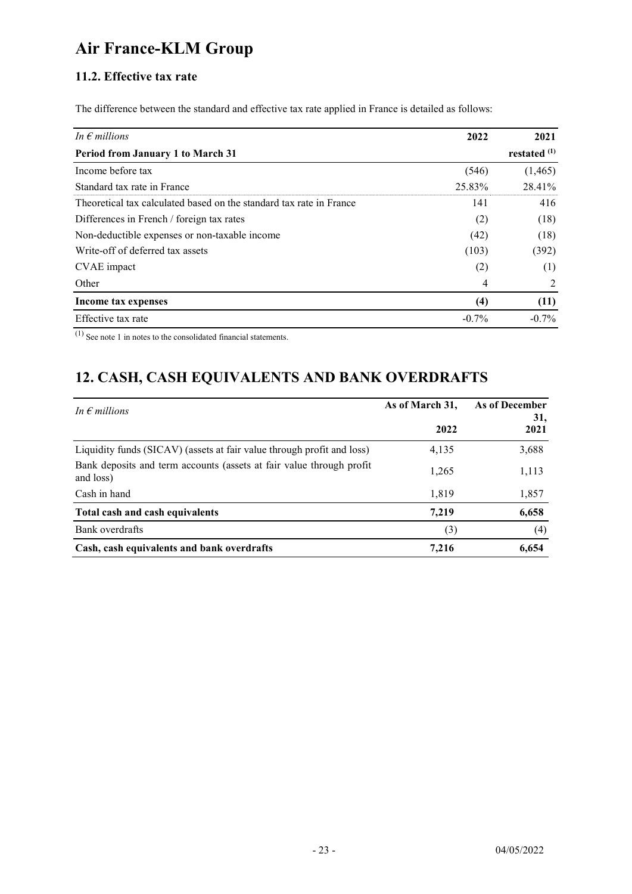### 11.2. Effective tax rate

The difference between the standard and effective tax rate applied in France is detailed as follows:

| In $\epsilon$ millions                                              | 2022     | 2021           |  |
|---------------------------------------------------------------------|----------|----------------|--|
| <b>Period from January 1 to March 31</b>                            |          | restated $(1)$ |  |
| Income before tax                                                   | (546)    | (1,465)        |  |
| Standard tax rate in France                                         | 25.83%   | 28.41%         |  |
| Theoretical tax calculated based on the standard tax rate in France | 141      | 416            |  |
| Differences in French / foreign tax rates                           | (2)      | (18)           |  |
| Non-deductible expenses or non-taxable income                       | (42)     | (18)           |  |
| Write-off of deferred tax assets                                    | (103)    | (392)          |  |
| CVAE impact                                                         | (2)      | (1)            |  |
| Other                                                               | 4        | 2              |  |
| Income tax expenses                                                 | (4)      | (11)           |  |
| Effective tax rate                                                  | $-0.7\%$ | $-0.7\%$       |  |

 $\overline{^{(1)}$  See note 1 in notes to the consolidated financial statements.

# 12. CASH, CASH EQUIVALENTS AND BANK OVERDRAFTS

| In $\epsilon$ millions                                                            | As of March 31, | As of December<br>31, |
|-----------------------------------------------------------------------------------|-----------------|-----------------------|
|                                                                                   | 2022            | 2021                  |
| Liquidity funds (SICAV) (assets at fair value through profit and loss)            | 4,135           | 3,688                 |
| Bank deposits and term accounts (assets at fair value through profit<br>and loss) | 1,265           | 1,113                 |
| Cash in hand                                                                      | 1,819           | 1,857                 |
| Total cash and cash equivalents                                                   | 7,219           | 6,658                 |
| Bank overdrafts                                                                   | (3)             | (4)                   |
| Cash, cash equivalents and bank overdrafts                                        | 7.216           | 6,654                 |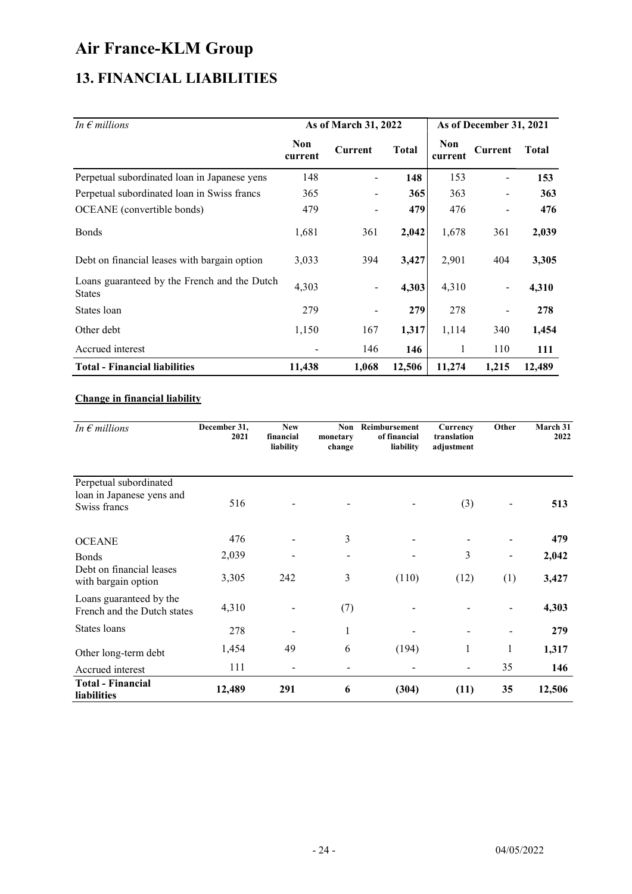## 13. FINANCIAL LIABILITIES

| In $\epsilon$ millions                                        |                       | As of March 31, 2022     |              | As of December 31, 2021 |                              |              |
|---------------------------------------------------------------|-----------------------|--------------------------|--------------|-------------------------|------------------------------|--------------|
|                                                               | <b>Non</b><br>current | Current                  | <b>Total</b> | <b>Non</b><br>current   | Current                      | <b>Total</b> |
| Perpetual subordinated loan in Japanese yens                  | 148                   |                          | 148          | 153                     |                              | 153          |
| Perpetual subordinated loan in Swiss francs                   | 365                   | $\overline{\phantom{a}}$ | 365          | 363                     |                              | 363          |
| OCEANE (convertible bonds)                                    | 479                   | $\blacksquare$           | 479          | 476                     |                              | 476          |
| <b>Bonds</b>                                                  | 1,681                 | 361                      | 2,042        | 1,678                   | 361                          | 2,039        |
| Debt on financial leases with bargain option                  | 3,033                 | 394                      | 3,427        | 2,901                   | 404                          | 3,305        |
| Loans guaranteed by the French and the Dutch<br><b>States</b> | 4,303                 | $\blacksquare$           | 4,303        | 4,310                   | $\qquad \qquad \blacksquare$ | 4,310        |
| States loan                                                   | 279                   | $\overline{\phantom{a}}$ | 279          | 278                     |                              | 278          |
| Other debt                                                    | 1,150                 | 167                      | 1,317        | 1,114                   | 340                          | 1,454        |
| Accrued interest                                              |                       | 146                      | 146          | 1                       | 110                          | 111          |
| <b>Total - Financial liabilities</b>                          | 11,438                | 1,068                    | 12,506       | 11,274                  | 1,215                        | 12,489       |

#### Change in financial liability

| In $\epsilon$ millions                                              | December 31,<br>2021 | <b>New</b><br>financial<br>liability | Non<br>monetary<br>change | Reimbursement<br>of financial<br>liability | Currency<br>translation<br>adjustment | Other                        | March 31<br>2022 |
|---------------------------------------------------------------------|----------------------|--------------------------------------|---------------------------|--------------------------------------------|---------------------------------------|------------------------------|------------------|
| Perpetual subordinated<br>loan in Japanese yens and<br>Swiss francs | 516                  |                                      |                           |                                            | (3)                                   |                              | 513              |
| <b>OCEANE</b>                                                       | 476                  |                                      | 3                         |                                            |                                       |                              | 479              |
| <b>Bonds</b>                                                        | 2,039                |                                      | $\overline{\phantom{0}}$  |                                            | 3                                     | $\qquad \qquad \blacksquare$ | 2,042            |
| Debt on financial leases<br>with bargain option                     | 3,305                | 242                                  | 3                         | (110)                                      | (12)                                  | (1)                          | 3,427            |
| Loans guaranteed by the<br>French and the Dutch states              | 4,310                |                                      | (7)                       |                                            |                                       |                              | 4,303            |
| States loans                                                        | 278                  |                                      | 1                         |                                            |                                       |                              | 279              |
| Other long-term debt                                                | 1,454                | 49                                   | 6                         | (194)                                      | 1                                     | 1                            | 1,317            |
| Accrued interest                                                    | 111                  |                                      |                           |                                            | $\overline{a}$                        | 35                           | 146              |
| <b>Total - Financial</b><br>liabilities                             | 12,489               | 291                                  | 6                         | (304)                                      | (11)                                  | 35                           | 12,506           |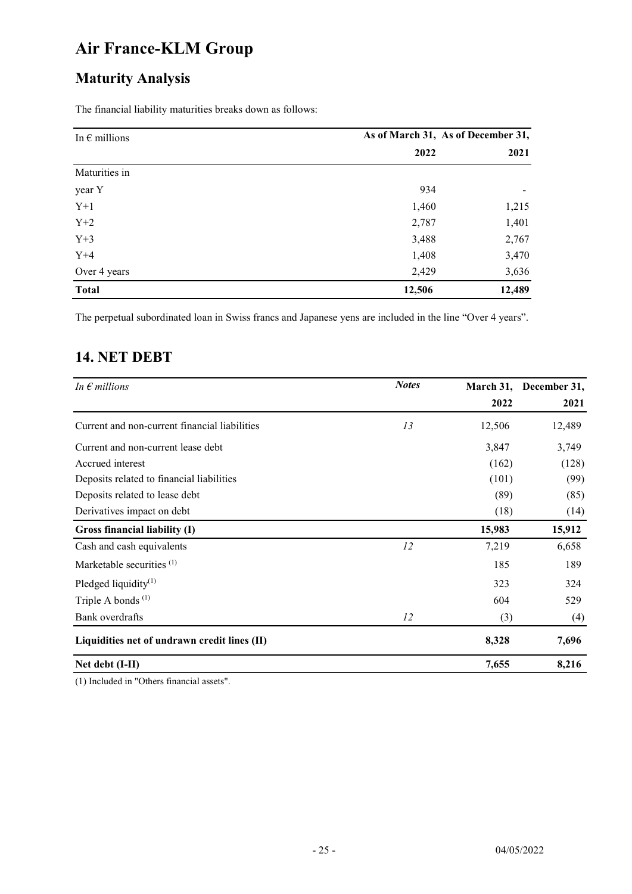# Maturity Analysis

The financial liability maturities breaks down as follows:

| In $\epsilon$ millions |        | As of March 31, As of December 31, |
|------------------------|--------|------------------------------------|
|                        | 2022   | 2021                               |
| Maturities in          |        |                                    |
| year Y                 | 934    |                                    |
| $Y+1$                  | 1,460  | 1,215                              |
| $Y+2$                  | 2,787  | 1,401                              |
| $Y+3$                  | 3,488  | 2,767                              |
| $Y+4$                  | 1,408  | 3,470                              |
| Over 4 years           | 2,429  | 3,636                              |
| <b>Total</b>           | 12,506 | 12,489                             |

The perpetual subordinated loan in Swiss francs and Japanese yens are included in the line "Over 4 years".

### 14. NET DEBT

| In $\epsilon$ millions                        | <b>Notes</b> |        | March 31, December 31, |
|-----------------------------------------------|--------------|--------|------------------------|
|                                               |              | 2022   | 2021                   |
| Current and non-current financial liabilities | 13           | 12,506 | 12,489                 |
| Current and non-current lease debt            |              | 3,847  | 3,749                  |
| Accrued interest                              |              | (162)  | (128)                  |
| Deposits related to financial liabilities     |              | (101)  | (99)                   |
| Deposits related to lease debt                |              | (89)   | (85)                   |
| Derivatives impact on debt                    |              | (18)   | (14)                   |
| Gross financial liability (I)                 |              | 15,983 | 15,912                 |
| Cash and cash equivalents                     | 12           | 7,219  | 6,658                  |
| Marketable securities <sup>(1)</sup>          |              | 185    | 189                    |
| Pledged liquidity $(1)$                       |              | 323    | 324                    |
| Triple A bonds <sup>(1)</sup>                 |              | 604    | 529                    |
| Bank overdrafts                               | 12           | (3)    | (4)                    |
| Liquidities net of undrawn credit lines (II)  |              | 8,328  | 7,696                  |
| Net debt (I-II)                               |              | 7,655  | 8,216                  |

(1) Included in "Others financial assets".